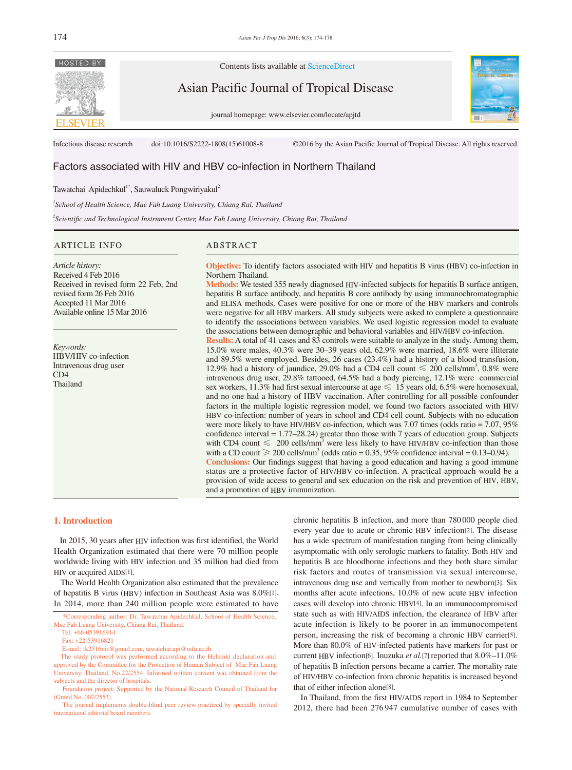

Contents lists available at ScienceDirect

Asian Pacific Journal of Tropical Disease

journal homepage: www.elsevier.com/locate/apjtd



Infectious disease research doi:10.1016/S2222-1808(15)61008-8 ©2016 by the Asian Pacific Journal of Tropical Disease. All rights reserved.

# Factors associated with HIV and HBV co-infection in Northern Thailand

Tawatchai Apidechkul<sup>1\*</sup>, Sauwaluck Pongwiriyakul<sup>2</sup>

<sup>1</sup> School of Health Science, Mae Fah Luang University, Chiang Rai, Thailand

*2 Scientific and Technological Instrument Center, Mae Fah Luang University, Chiang Rai, Thailand* 

#### ARTICLE INFO ABSTRACT

revised form 26 Feb 2016 Accepted 11 Mar 2016 Available online 15 Mar 2016

HBV/HIV co-infection Intravenous drug user

Received in revised form 22 Feb, 2nd

*Article history:* Received 4 Feb 2016

*Keywords:*

CD4 Thailand

**Objective:** To identify factors associated with HIV and hepatitis B virus (HBV) co-infection in Northern Thailand. **Methods:** We tested 355 newly diagnosed HIV-infected subjects for hepatitis B surface antigen,

hepatitis B surface antibody, and hepatitis B core antibody by using immunochromatographic and ELISA methods. Cases were positive for one or more of the HBV markers and controls were negative for all HBV markers. All study subjects were asked to complete a questionnaire to identify the associations between variables. We used logistic regression model to evaluate the associations between demographic and behavioral variables and HIV/HBV co-infection.

**Results:** A total of 41 cases and 83 controls were suitable to analyze in the study. Among them, 15.0% were males, 40.3% were 30–39 years old, 62.9% were married, 18.6% were illiterate and 89.5% were employed. Besides, 26 cases (23.4%) had a history of a blood transfusion, 12.9% had a history of jaundice, 29.0% had a CD4 cell count  $\leq 200$  cells/mm<sup>3</sup>, 0.8% were intravenous drug user, 29.8% tattooed, 64.5% had a body piercing, 12.1% were commercial sex workers, 11.3% had first sexual intercourse at age  $\leq 15$  years old, 6.5% were homosexual, and no one had a history of HBV vaccination. After controlling for all possible confounder factors in the multiple logistic regression model, we found two factors associated with HIV/ HBV co-infection: number of years in school and CD4 cell count. Subjects with no education were more likely to have HIV/HBV co-infection, which was 7.07 times (odds ratio = 7.07, 95%) confidence interval = 1.77–28.24) greater than those with 7 years of education group. Subjects with CD4 count  $\leq 200$  cells/mm<sup>3</sup> were less likely to have HIV/HBV co-infection than those with a CD count  $\geq 200$  cells/mm<sup>3</sup> (odds ratio = 0.35, 95% confidence interval = 0.13–0.94). **Conclusions:** Our findings suggest that having a good education and having a good immune status are a protective factor of HIV/HBV co-infection. A practical approach would be a provision of wide access to general and sex education on the risk and prevention of HIV, HBV, and a promotion of HBV immunization.

## **1. Introduction**

 In 2015, 30 years after HIV infection was first identified, the World Health Organization estimated that there were 70 million people worldwide living with HIV infection and 35 million had died from HIV or acquired AIDS[1].

 The World Health Organization also estimated that the prevalence of hepatitis B virus (HBV) infection in Southeast Asia was 8.0%[1]. In 2014, more than 240 million people were estimated to have chronic hepatitis B infection, and more than 780 000 people died every year due to acute or chronic HBV infection[2]. The disease has a wide spectrum of manifestation ranging from being clinically asymptomatic with only serologic markers to fatality. Both HIV and hepatitis B are bloodborne infections and they both share similar risk factors and routes of transmission via sexual intercourse, intravenous drug use and vertically from mother to newborn[3]. Six months after acute infections, 10.0% of new acute HBV infection cases will develop into chronic HBV[4]. In an immunocompromised state such as with HIV/AIDS infection, the clearance of HBV after acute infection is likely to be poorer in an immunocompetent person, increasing the risk of becoming a chronic HBV carrier[5]. More than 80.0% of HIV-infected patients have markers for past or current HBV infection[6]. Inuzuka *et al.*[7] reported that 8.0%–11.0% of hepatitis B infection persons became a carrier. The mortality rate of HIV/HBV co-infection from chronic hepatitis is increased beyond that of either infection alone[8].

 In Thailand, from the first HIV/AIDS report in 1984 to September 2012, there had been 276 947 cumulative number of cases with

 <sup>\*</sup>Corresponding author: Dr. Tawatchai Apidechkul, School of Health Science, Mae Fah Luang University, Chiang Rai, Thailand.

Tel: +66-053916914

Fax: +22-53916821

E-mail: tk2516ms@gmail.com, tawatchai.api@mfu.ac.th

The study protocol was performed according to the Helsinki declaration and approved by the Committee for the Protection of Human Subject of Mae Fah Luang University, Thailand, No.22/2554. Informed written consent was obtained from the subjects and the director of hospitals.

Foundation project: Supported by the National Research Council of Thailand for (Grand No. 007/2553).

The journal implements double-blind peer review practiced by specially invited international editorial board members.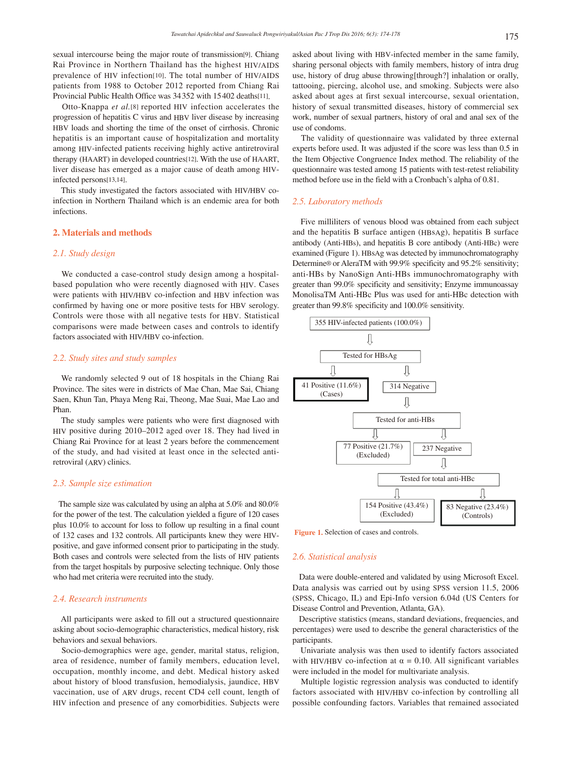sexual intercourse being the major route of transmission[9]. Chiang Rai Province in Northern Thailand has the highest HIV/AIDS prevalence of HIV infection[10]. The total number of HIV/AIDS patients from 1988 to October 2012 reported from Chiang Rai Provincial Public Health Office was 34352 with 15402 deaths[11].

 Otto-Knappa *et al.*[8] reported HIV infection accelerates the progression of hepatitis C virus and HBV liver disease by increasing HBV loads and shorting the time of the onset of cirrhosis. Chronic hepatitis is an important cause of hospitalization and mortality among HIV-infected patients receiving highly active antiretroviral therapy (HAART) in developed countries[12]. With the use of HAART, liver disease has emerged as a major cause of death among HIVinfected persons[13,14].

 This study investigated the factors associated with HIV/HBV coinfection in Northern Thailand which is an endemic area for both infections.

#### **2. Materials and methods**

## *2.1. Study design*

 We conducted a case-control study design among a hospitalbased population who were recently diagnosed with HIV. Cases were patients with HIV/HBV co-infection and HBV infection was confirmed by having one or more positive tests for HBV serology. Controls were those with all negative tests for HBV. Statistical comparisons were made between cases and controls to identify factors associated with HIV/HBV co-infection.

## *2.2. Study sites and study samples*

 We randomly selected 9 out of 18 hospitals in the Chiang Rai Province. The sites were in districts of Mae Chan, Mae Sai, Chiang Saen, Khun Tan, Phaya Meng Rai, Theong, Mae Suai, Mae Lao and Phan.

 The study samples were patients who were first diagnosed with HIV positive during 2010–2012 aged over 18. They had lived in Chiang Rai Province for at least 2 years before the commencement of the study, and had visited at least once in the selected antiretroviral (ARV) clinics.

#### *2.3. Sample size estimation*

 The sample size was calculated by using an alpha at 5.0% and 80.0% for the power of the test. The calculation yielded a figure of 120 cases plus 10.0% to account for loss to follow up resulting in a final count of 132 cases and 132 controls. All participants knew they were HIVpositive, and gave informed consent prior to participating in the study. Both cases and controls were selected from the lists of HIV patients from the target hospitals by purposive selecting technique. Only those who had met criteria were recruited into the study.

## *2.4. Research instruments*

 All participants were asked to fill out a structured questionnaire asking about socio-demographic characteristics, medical history, risk behaviors and sexual behaviors.

 Socio-demographics were age, gender, marital status, religion, area of residence, number of family members, education level, occupation, monthly income, and debt. Medical history asked about history of blood transfusion, hemodialysis, jaundice, HBV vaccination, use of ARV drugs, recent CD4 cell count, length of HIV infection and presence of any comorbidities. Subjects were asked about living with HBV-infected member in the same family, sharing personal objects with family members, history of intra drug use, history of drug abuse throwing[through?] inhalation or orally, tattooing, piercing, alcohol use, and smoking. Subjects were also asked about ages at first sexual intercourse, sexual orientation, history of sexual transmitted diseases, history of commercial sex work, number of sexual partners, history of oral and anal sex of the use of condoms.

 The validity of questionnaire was validated by three external experts before used. It was adjusted if the score was less than 0.5 in the Item Objective Congruence Index method. The reliability of the questionnaire was tested among 15 patients with test-retest reliability method before use in the field with a Cronbach's alpha of 0.81.

### *2.5. Laboratory methods*

 Five milliliters of venous blood was obtained from each subject and the hepatitis B surface antigen (HBsAg), hepatitis B surface antibody (Anti-HBs), and hepatitis B core antibody (Anti-HBc) were examined (Figure 1). HBsAg was detected by immunochromatography Determine® or AleraTM with 99.9% specificity and 95.2% sensitivity; anti-HBs by NanoSign Anti-HBs immunochromatography with greater than 99.0% specificity and sensitivity; Enzyme immunoassay MonolisaTM Anti-HBc Plus was used for anti-HBc detection with greater than 99.8% specificity and 100.0% sensitivity.



**Figure 1.** Selection of cases and controls.

#### *2.6. Statistical analysis*

 Data were double-entered and validated by using Microsoft Excel. Data analysis was carried out by using SPSS version 11.5, 2006 (SPSS, Chicago, IL) and Epi-Info version 6.04d (US Centers for Disease Control and Prevention, Atlanta, GA).

 Descriptive statistics (means, standard deviations, frequencies, and percentages) were used to describe the general characteristics of the participants.

 Univariate analysis was then used to identify factors associated with HIV/HBV co-infection at  $\alpha = 0.10$ . All significant variables were included in the model for multivariate analysis.

 Multiple logistic regression analysis was conducted to identify factors associated with HIV/HBV co-infection by controlling all possible confounding factors. Variables that remained associated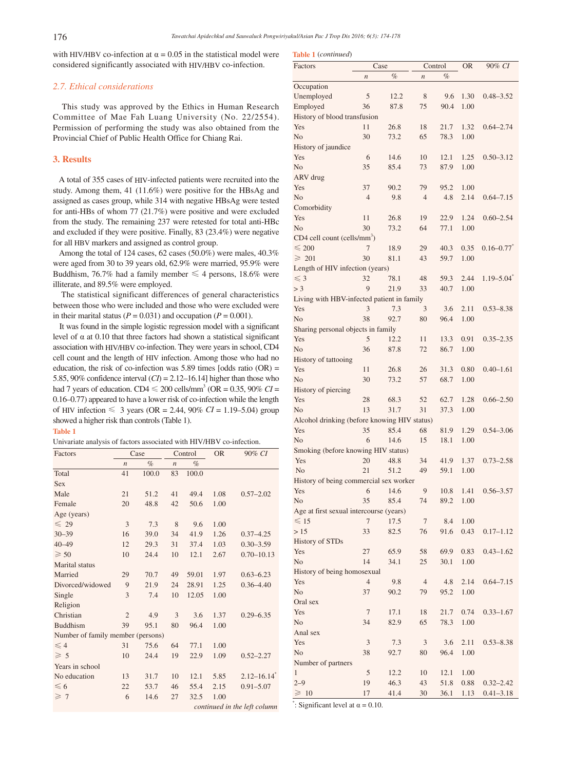**Table 1** (*continued*)

with HIV/HBV co-infection at  $\alpha = 0.05$  in the statistical model were considered significantly associated with HIV/HBV co-infection.

## *2.7. Ethical considerations*

 This study was approved by the Ethics in Human Research Committee of Mae Fah Luang University (No. 22/2554). Permission of performing the study was also obtained from the Provincial Chief of Public Health Office for Chiang Rai.

## **3. Results**

 A total of 355 cases of HIV-infected patients were recruited into the study. Among them, 41 (11.6%) were positive for the HBsAg and assigned as cases group, while 314 with negative HBsAg were tested for anti-HBs of whom 77 (21.7%) were positive and were excluded from the study. The remaining 237 were retested for total anti-HBc and excluded if they were positive. Finally, 83 (23.4%) were negative for all HBV markers and assigned as control group.

 Among the total of 124 cases, 62 cases (50.0%) were males, 40.3% were aged from 30 to 39 years old, 62.9% were married, 95.9% were Buddhism, 76.7% had a family member  $\leq 4$  persons, 18.6% were illiterate, and 89.5% were employed.

 The statistical significant differences of general characteristics between those who were included and those who were excluded were in their marital status ( $P = 0.031$ ) and occupation ( $P = 0.001$ ).

 It was found in the simple logistic regression model with a significant level of α at 0.10 that three factors had shown a statistical significant association with HIV/HBV co-infection. They were years in school, CD4 cell count and the length of HIV infection. Among those who had no education, the risk of co-infection was  $5.89$  times [odds ratio (OR) = 5.85, 90% confidence interval  $(CI) = 2.12-16.14$ ] higher than those who had 7 years of education. CD4  $\leq 200$  cells/mm<sup>3</sup> (OR = 0.35, 90% *CI* = 0.16–0.77) appeared to have a lower risk of co-infection while the length of HIV infection ≤ 3 years (OR = 2.44, 90% *CI* = 1.19–5.04) group showed a higher risk than controls (Table 1).

## **Table 1**

Univariate analysis of factors associated with HIV/HBV co-infection.

| Factors                           | Case             |       | Control          |       | <b>OR</b> | 90% CI                       |
|-----------------------------------|------------------|-------|------------------|-------|-----------|------------------------------|
|                                   | $\boldsymbol{n}$ | $\%$  | $\boldsymbol{n}$ | $\%$  |           |                              |
| Total                             | 41               | 100.0 | 83               | 100.0 |           |                              |
| <b>Sex</b>                        |                  |       |                  |       |           |                              |
| Male                              | 21               | 51.2  | 41               | 49.4  | 1.08      | $0.57 - 2.02$                |
| Female                            | 20               | 48.8  | 42               | 50.6  | 1.00      |                              |
| Age (years)                       |                  |       |                  |       |           |                              |
| $\leq 29$                         | 3                | 7.3   | 8                | 9.6   | 1.00      |                              |
| $30 - 39$                         | 16               | 39.0  | 34               | 41.9  | 1.26      | $0.37 - 4.25$                |
| $40 - 49$                         | 12               | 29.3  | 31               | 37.4  | 1.03      | $0.30 - 3.59$                |
| $\geqslant$ 50                    | 10               | 24.4  | 10               | 12.1  | 2.67      | $0.70 - 10.13$               |
| Marital status                    |                  |       |                  |       |           |                              |
| Married                           | 29               | 70.7  | 49               | 59.01 | 1.97      | $0.63 - 6.23$                |
| Divorced/widowed                  | 9                | 21.9  | 24               | 28.91 | 1.25      | $0.36 - 4.40$                |
| Single                            | 3                | 7.4   | 10               | 12.05 | 1.00      |                              |
| Religion                          |                  |       |                  |       |           |                              |
| Christian                         | $\overline{2}$   | 4.9   | 3                | 3.6   | 1.37      | $0.29 - 6.35$                |
| <b>Buddhism</b>                   | 39               | 95.1  | 80               | 96.4  | 1.00      |                              |
| Number of family member (persons) |                  |       |                  |       |           |                              |
| $\leq 4$                          | 31               | 75.6  | 64               | 77.1  | 1.00      |                              |
| $\geqslant$ 5                     | 10               | 24.4  | 19               | 22.9  | 1.09      | $0.52 - 2.27$                |
| Years in school                   |                  |       |                  |       |           |                              |
| No education                      | 13               | 31.7  | 10               | 12.1  | 5.85      | $2.12 - 16.14$ <sup>*</sup>  |
| $\leq 6$                          | 22               | 53.7  | 46               | 55.4  | 2.15      | $0.91 - 5.07$                |
| $\geq 7$                          | 6                | 14.6  | 27               | 32.5  | 1.00      |                              |
|                                   |                  |       |                  |       |           | continued in the left column |

| <b>Table 1</b> ( <i>continued</i> )<br>Factors      | Case             |              | Control          |              | OR           | 90% CI                     |
|-----------------------------------------------------|------------------|--------------|------------------|--------------|--------------|----------------------------|
|                                                     | $\boldsymbol{n}$ | $\%$         | $\boldsymbol{n}$ | $\%$         |              |                            |
| Occupation                                          |                  |              |                  |              |              |                            |
| Unemployed                                          | 5                | 12.2         | 8                | 9.6          | 1.30         | $0.48 - 3.52$              |
| Employed                                            | 36               | 87.8         | 75               | 90.4         | 1.00         |                            |
| History of blood transfusion                        |                  |              |                  |              |              |                            |
| Yes                                                 | 11               | 26.8         | 18               | 21.7         | 1.32         | $0.64 - 2.74$              |
| N <sub>o</sub><br>History of jaundice               | 30               | 73.2         | 65               | 78.3         | 1.00         |                            |
| Yes                                                 | 6                | 14.6         | 10               | 12.1         | 1.25         | $0.50 - 3.12$              |
| N <sub>o</sub>                                      | 35               | 85.4         | 73               | 87.9         | 1.00         |                            |
| ARV drug                                            |                  |              |                  |              |              |                            |
| Yes                                                 | 37               | 90.2         | 79               | 95.2         | 1.00         |                            |
| N <sub>o</sub>                                      | $\overline{4}$   | 9.8          | $\overline{4}$   | 4.8          | 2.14         | $0.64 - 7.15$              |
| Comorbidity                                         |                  |              |                  |              |              |                            |
| Yes                                                 | 11               | 26.8         | 19               | 22.9         | 1.24         | $0.60 - 2.54$              |
| N <sub>o</sub>                                      | 30               | 73.2         | 64               | 77.1         | 1.00         |                            |
| CD4 cell count (cells/mm <sup>3</sup> )             |                  |              |                  |              |              |                            |
| $\leqslant$ 200                                     | 7                | 18.9         | 29               | 40.3         | 0.35         | $0.16 - 0.77$              |
| $\geqslant 201$                                     | 30               | 81.1         | 43               | 59.7         | 1.00         |                            |
| Length of HIV infection (years)<br>$\leq$ 3         | 32               | 78.1         |                  | 59.3         | 2.44         | $1.19 - 5.04$ <sup>*</sup> |
| > 3                                                 | 9                | 21.9         | 48<br>33         | 40.7         | 1.00         |                            |
| Living with HBV-infected patient in family          |                  |              |                  |              |              |                            |
| Yes                                                 | 3                | 7.3          | 3                | 3.6          | 2.11         | $0.53 - 8.38$              |
| N <sub>o</sub>                                      | 38               | 92.7         | 80               | 96.4         | 1.00         |                            |
| Sharing personal objects in family                  |                  |              |                  |              |              |                            |
| Yes                                                 | 5                | 12.2         | 11               | 13.3         | 0.91         | $0.35 - 2.35$              |
| N <sub>o</sub>                                      | 36               | 87.8         | 72               | 86.7         | 1.00         |                            |
| History of tattooing                                |                  |              |                  |              |              |                            |
| Yes                                                 | 11               | 26.8         | 26               | 31.3         | 0.80         | $0.40 - 1.61$              |
| N <sub>o</sub>                                      | 30               | 73.2         | 57               | 68.7         | 1.00         |                            |
| History of piercing                                 |                  |              |                  |              |              |                            |
| Yes                                                 | 28               | 68.3         | 52               | 62.7         | 1.28         | $0.66 - 2.50$              |
| N <sub>o</sub>                                      | 13               | 31.7         | 31               | 37.3         | 1.00         |                            |
| Alcohol drinking (before knowing HIV status)<br>Yes | 35               | 85.4         | 68               | 81.9         | 1.29         | $0.54 - 3.06$              |
| N <sub>o</sub>                                      | 6                | 14.6         | 15               | 18.1         | 1.00         |                            |
| Smoking (before knowing HIV status)                 |                  |              |                  |              |              |                            |
| Yes                                                 | 20               | 48.8         | 34               | 41.9         | 1.37         | $0.73 - 2.58$              |
| No                                                  | 21               | 51.2         | 49               | 59.1         | 1.00         |                            |
| History of being commercial sex worker              |                  |              |                  |              |              |                            |
| Yes                                                 | 6                | 14.6         | 9                | 10.8         | 1.41         | $0.56 - 3.57$              |
| No                                                  | 35               | 85.4         | 74               | 89.2         | 1.00         |                            |
| Age at first sexual intercourse (years)             |                  |              |                  |              |              |                            |
| $\leq 15$                                           | 7                | 17.5         | 7                | 8.4          | 1.00         |                            |
| >15                                                 | 33               | 82.5         | 76               | 91.6         | 0.43         | $0.17 - 1.12$              |
| <b>History of STDs</b>                              |                  |              |                  |              |              |                            |
| Yes<br>No                                           | 27<br>14         | 65.9<br>34.1 | 58<br>25         | 69.9<br>30.1 | 0.83<br>1.00 | $0.43 - 1.62$              |
| History of being homosexual                         |                  |              |                  |              |              |                            |
| Yes                                                 | $\overline{4}$   | 9.8          | $\overline{4}$   | 4.8          | 2.14         | $0.64 - 7.15$              |
| N <sub>o</sub>                                      | 37               | 90.2         | 79               | 95.2         | 1.00         |                            |
| Oral sex                                            |                  |              |                  |              |              |                            |
| Yes                                                 | 7                | 17.1         | 18               | 21.7         | 0.74         | $0.33 - 1.67$              |
| No                                                  | 34               | 82.9         | 65               | 78.3         | 1.00         |                            |
| Anal sex                                            |                  |              |                  |              |              |                            |
| Yes                                                 | 3                | 7.3          | 3                | 3.6          | 2.11         | $0.53 - 8.38$              |
| No                                                  | 38               | 92.7         | 80               | 96.4         | 1.00         |                            |
| Number of partners                                  |                  |              |                  |              |              |                            |
| 1                                                   | 5                | 12.2         | 10               | 12.1         | 1.00         |                            |
| $2 - 9$                                             | 19               | 46.3         | 43               | 51.8         | 0.88         | $0.32 - 2.42$              |
| $\geq 10$                                           | 17               | 41.4         | 30               | 36.1         | 1.13         | $0.41 - 3.18$              |

": Significant level at  $\alpha = 0.10$ .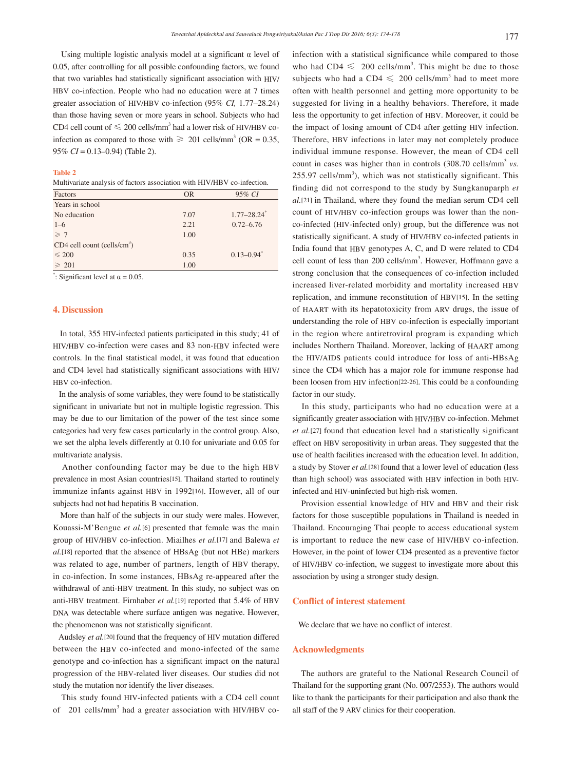Using multiple logistic analysis model at a significant  $\alpha$  level of 0.05, after controlling for all possible confounding factors, we found that two variables had statistically significant association with HIV/ HBV co-infection. People who had no education were at 7 times greater association of HIV/HBV co-infection (95% *CI,* 1.77–28.24) than those having seven or more years in school. Subjects who had CD4 cell count of  $\leq 200$  cells/mm<sup>3</sup> had a lower risk of HIV/HBV coinfection as compared to those with  $\geq 201$  cells/mm<sup>3</sup> (OR = 0.35, 95% *CI* = 0.13–0.94) (Table 2).

#### **Table 2**

Multivariate analysis of factors association with HIV/HBV co-infection.

| Factors                                   | <b>OR</b> | 95% CI                      |
|-------------------------------------------|-----------|-----------------------------|
| Years in school                           |           |                             |
| No education                              | 7.07      | $1.77 - 28.24$ <sup>*</sup> |
| $1 - 6$                                   | 2.21      | $0.72 - 6.76$               |
| $\geq 7$                                  | 1.00      |                             |
| $CD4$ cell count (cells/cm <sup>3</sup> ) |           |                             |
| $\leq 200$                                | 0.35      | $0.13 - 0.94$ <sup>*</sup>  |
| $\geqslant$ 201                           | 1.00      |                             |

": Significant level at  $\alpha = 0.05$ .

#### **4. Discussion**

 In total, 355 HIV-infected patients participated in this study; 41 of HIV/HBV co-infection were cases and 83 non-HBV infected were controls. In the final statistical model, it was found that education and CD4 level had statistically significant associations with HIV/ HBV co-infection.

 In the analysis of some variables, they were found to be statistically significant in univariate but not in multiple logistic regression. This may be due to our limitation of the power of the test since some categories had very few cases particularly in the control group. Also, we set the alpha levels differently at 0.10 for univariate and 0.05 for multivariate analysis.

 Another confounding factor may be due to the high HBV prevalence in most Asian countries[15]. Thailand started to routinely immunize infants against HBV in 1992[16]. However, all of our subjects had not had hepatitis B vaccination.

 More than half of the subjects in our study were males. However, Kouassi-M'Bengue *et al.*[6] presented that female was the main group of HIV/HBV co-infection. Miailhes *et al.*[17] and Balewa *et al.*[18] reported that the absence of HBsAg (but not HBe) markers was related to age, number of partners, length of HBV therapy, in co-infection. In some instances, HBsAg re-appeared after the withdrawal of anti-HBV treatment. In this study, no subject was on anti-HBV treatment. Firnhaber *et al.*[19] reported that 5.4% of HBV DNA was detectable where surface antigen was negative. However, the phenomenon was not statistically significant.

 Audsley *et al.*[20] found that the frequency of HIV mutation differed between the HBV co-infected and mono-infected of the same genotype and co-infection has a significant impact on the natural progression of the HBV-related liver diseases. Our studies did not study the mutation nor identify the liver diseases.

 This study found HIV-infected patients with a CD4 cell count of 201 cells/mm<sup>3</sup> had a greater association with HIV/HBV coinfection with a statistical significance while compared to those who had  $CD4 \leq 200$  cells/mm<sup>3</sup>. This might be due to those subjects who had a CD4  $\leq$  200 cells/mm<sup>3</sup> had to meet more often with health personnel and getting more opportunity to be suggested for living in a healthy behaviors. Therefore, it made less the opportunity to get infection of HBV. Moreover, it could be the impact of losing amount of CD4 after getting HIV infection. Therefore, HBV infections in later may not completely produce individual immune response. However, the mean of CD4 cell count in cases was higher than in controls (308.70 cells/mm<sup>3</sup> *vs.*) 255.97 cells/mm<sup>3</sup>), which was not statistically significant. This finding did not correspond to the study by Sungkanuparph *et al.*[21] in Thailand, where they found the median serum CD4 cell count of HIV/HBV co-infection groups was lower than the nonco-infected (HIV-infected only) group, but the difference was not statistically significant. A study of HIV/HBV co-infected patients in India found that HBV genotypes A, C, and D were related to CD4 cell count of less than 200 cells/mm<sup>3</sup>. However, Hoffmann gave a strong conclusion that the consequences of co-infection included increased liver-related morbidity and mortality increased HBV replication, and immune reconstitution of HBV[15]. In the setting of HAART with its hepatotoxicity from ARV drugs, the issue of understanding the role of HBV co-infection is especially important in the region where antiretroviral program is expanding which includes Northern Thailand. Moreover, lacking of HAART among the HIV/AIDS patients could introduce for loss of anti-HBsAg since the CD4 which has a major role for immune response had been loosen from HIV infection[22-26]. This could be a confounding factor in our study.

 In this study, participants who had no education were at a significantly greater association with HIV/HBV co-infection. Mehmet *et al.*[27] found that education level had a statistically significant effect on HBV seropositivity in urban areas. They suggested that the use of health facilities increased with the education level. In addition, a study by Stover *et al.*[28] found that a lower level of education (less than high school) was associated with HBV infection in both HIVinfected and HIV-uninfected but high-risk women.

 Provision essential knowledge of HIV and HBV and their risk factors for those susceptible populations in Thailand is needed in Thailand. Encouraging Thai people to access educational system is important to reduce the new case of HIV/HBV co-infection. However, in the point of lower CD4 presented as a preventive factor of HIV/HBV co-infection, we suggest to investigate more about this association by using a stronger study design.

## **Conflict of interest statement**

We declare that we have no conflict of interest.

#### **Acknowledgments**

 The authors are grateful to the National Research Council of Thailand for the supporting grant (No. 007/2553). The authors would like to thank the participants for their participation and also thank the all staff of the 9 ARV clinics for their cooperation.